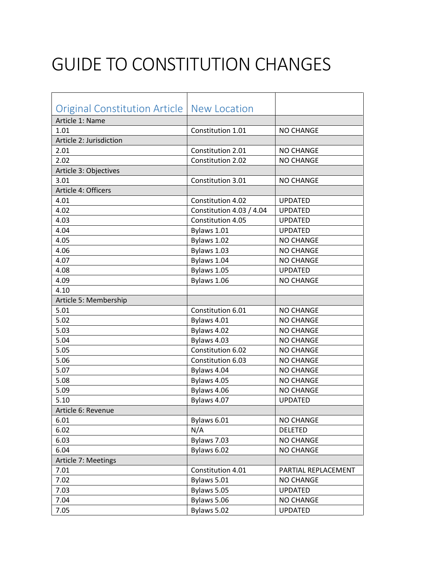## GUIDE TO CONSTITUTION CHANGES

| Original Constitution Article   New Location |                          |                     |
|----------------------------------------------|--------------------------|---------------------|
| Article 1: Name                              |                          |                     |
| 1.01                                         | Constitution 1.01        | <b>NO CHANGE</b>    |
| Article 2: Jurisdiction                      |                          |                     |
| 2.01                                         | Constitution 2.01        | <b>NO CHANGE</b>    |
| 2.02                                         | Constitution 2.02        | <b>NO CHANGE</b>    |
| Article 3: Objectives                        |                          |                     |
| 3.01                                         | Constitution 3.01        | <b>NO CHANGE</b>    |
| Article 4: Officers                          |                          |                     |
| 4.01                                         | Constitution 4.02        | <b>UPDATED</b>      |
| 4.02                                         | Constitution 4.03 / 4.04 | <b>UPDATED</b>      |
| 4.03                                         | Constitution 4.05        | <b>UPDATED</b>      |
| 4.04                                         | Bylaws 1.01              | <b>UPDATED</b>      |
| 4.05                                         | Bylaws 1.02              | <b>NO CHANGE</b>    |
| 4.06                                         | Bylaws 1.03              | <b>NO CHANGE</b>    |
| 4.07                                         | Bylaws 1.04              | <b>NO CHANGE</b>    |
| 4.08                                         | Bylaws 1.05              | <b>UPDATED</b>      |
| 4.09                                         | Bylaws 1.06              | <b>NO CHANGE</b>    |
| 4.10                                         |                          |                     |
| Article 5: Membership                        |                          |                     |
| 5.01                                         | Constitution 6.01        | <b>NO CHANGE</b>    |
| 5.02                                         | Bylaws 4.01              | <b>NO CHANGE</b>    |
| 5.03                                         | Bylaws 4.02              | <b>NO CHANGE</b>    |
| 5.04                                         | Bylaws 4.03              | <b>NO CHANGE</b>    |
| 5.05                                         | Constitution 6.02        | <b>NO CHANGE</b>    |
| 5.06                                         | Constitution 6.03        | <b>NO CHANGE</b>    |
| 5.07                                         | Bylaws 4.04              | <b>NO CHANGE</b>    |
| 5.08                                         | Bylaws 4.05              | <b>NO CHANGE</b>    |
| 5.09                                         | Bylaws 4.06              | <b>NO CHANGE</b>    |
| 5.10                                         | Bylaws 4.07              | <b>UPDATED</b>      |
| Article 6: Revenue                           |                          |                     |
| 6.01                                         | Bylaws 6.01              | <b>NO CHANGE</b>    |
| 6.02                                         | N/A                      | <b>DELETED</b>      |
| 6.03                                         | Bylaws 7.03              | <b>NO CHANGE</b>    |
| 6.04                                         | Bylaws 6.02              | <b>NO CHANGE</b>    |
| Article 7: Meetings                          |                          |                     |
| 7.01                                         | Constitution 4.01        | PARTIAL REPLACEMENT |
| 7.02                                         | Bylaws 5.01              | <b>NO CHANGE</b>    |
| 7.03                                         | Bylaws 5.05              | <b>UPDATED</b>      |
| 7.04                                         | Bylaws 5.06              | <b>NO CHANGE</b>    |
| 7.05                                         | Bylaws 5.02              | <b>UPDATED</b>      |